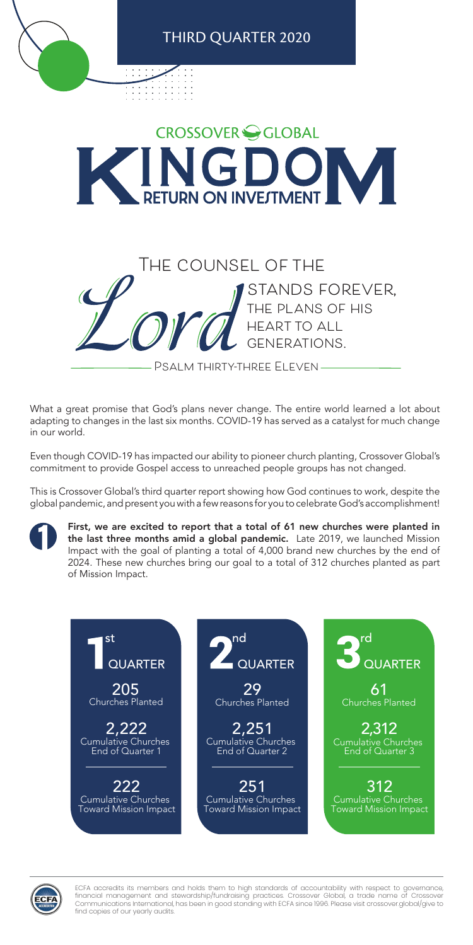What a great promise that God's plans never change. The entire world learned a lot about adapting to changes in the last six months. COVID-19 has served as a catalyst for much change in our world.

Even though COVID-19 has impacted our ability to pioneer church planting, Crossover Global's commitment to provide Gospel access to unreached people groups has not changed.

This is Crossover Global's third quarter report showing how God continues to work, despite the global pandemic, and present you with a few reasons for you to celebrate God's accomplishment!

First, we are excited to report that a total of 61 new churches were planted in the last three months amid a global pandemic. Late 2019, we launched Mission Impact with the goal of planting a total of 4,000 brand new churches by the end of 2024. These new churches bring our goal to a total of 312 churches planted as part of Mission Impact.



ECFA accredits its members and holds them to high standards of accountability with respect to governance, financial management and stewardship/fundraising practices. Crossover Global, a trade name of Crossover Communications International, has been in good standing with ECFA since 1996. Please visit crossover.global/give to find copies of our yearly audits.

222 Cumulative Churches Toward Mission Impact



Cumulative Churches End of Quarter 3

Cumulative Churches End of Quarter 1

> 251 Cumulative Churches Toward Mission Impact

312 Cumulative Churches Toward Mission Impact



Cumulative Churches End of Quarter 2